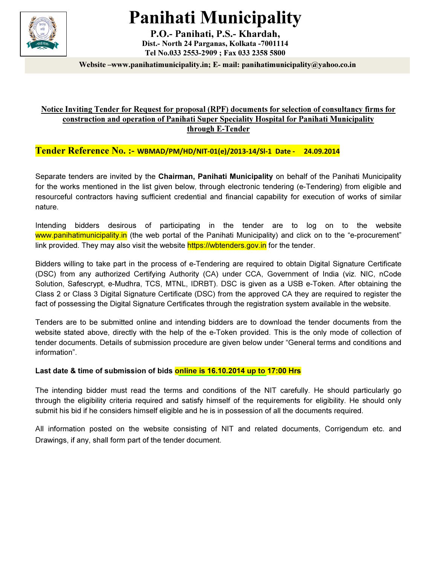

# Panihati Municipality

P.O.- Panihati, P.S.- Khardah, Dist.- North 24 Parganas, Kolkata -7001114 Tel No.033 2553-2909 ; Fax 033 2358 5800

Website –www.panihatimunicipality.in; E- mail: panihatimunicipality@yahoo.co.in

#### Notice Inviting Tender for Request for proposal (RPF) documents for selection of consultancy firms for construction and operation of Panihati Super Speciality Hospital for Panihati Municipality through E-Tender

Tender Reference No. :- WBMAD/PM/HD/NIT-01(e)/2013-14/Sl-1 Date - 24.09.2014

Separate tenders are invited by the Chairman, Panihati Municipality on behalf of the Panihati Municipality for the works mentioned in the list given below, through electronic tendering (e-Tendering) from eligible and resourceful contractors having sufficient credential and financial capability for execution of works of similar nature.

Intending bidders desirous of participating in the tender are to log on to the website www.panihatimunicipality.in (the web portal of the Panihati Municipality) and click on to the "e-procurement" link provided. They may also visit the website https://wbtenders.gov.in for the tender.

Bidders willing to take part in the process of e-Tendering are required to obtain Digital Signature Certificate (DSC) from any authorized Certifying Authority (CA) under CCA, Government of India (viz. NIC, nCode Solution, Safescrypt, e-Mudhra, TCS, MTNL, IDRBT). DSC is given as a USB e-Token. After obtaining the Class 2 or Class 3 Digital Signature Certificate (DSC) from the approved CA they are required to register the fact of possessing the Digital Signature Certificates through the registration system available in the website.

Tenders are to be submitted online and intending bidders are to download the tender documents from the website stated above, directly with the help of the e-Token provided. This is the only mode of collection of tender documents. Details of submission procedure are given below under "General terms and conditions and information".

#### Last date & time of submission of bids online is 16.10.2014 up to 17:00 Hrs

The intending bidder must read the terms and conditions of the NIT carefully. He should particularly go through the eligibility criteria required and satisfy himself of the requirements for eligibility. He should only submit his bid if he considers himself eligible and he is in possession of all the documents required.

All information posted on the website consisting of NIT and related documents, Corrigendum etc. and Drawings, if any, shall form part of the tender document.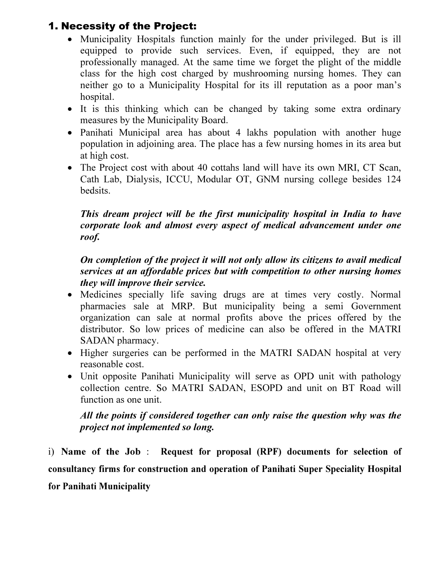# 1. Necessity of the Project:

- Municipality Hospitals function mainly for the under privileged. But is ill equipped to provide such services. Even, if equipped, they are not professionally managed. At the same time we forget the plight of the middle class for the high cost charged by mushrooming nursing homes. They can neither go to a Municipality Hospital for its ill reputation as a poor man's hospital.
- It is this thinking which can be changed by taking some extra ordinary measures by the Municipality Board.
- Panihati Municipal area has about 4 lakhs population with another huge population in adjoining area. The place has a few nursing homes in its area but at high cost.
- The Project cost with about 40 cottahs land will have its own MRI, CT Scan, Cath Lab, Dialysis, ICCU, Modular OT, GNM nursing college besides 124 bedsits.

### This dream project will be the first municipality hospital in India to have corporate look and almost every aspect of medical advancement under one roof.

### On completion of the project it will not only allow its citizens to avail medical services at an affordable prices but with competition to other nursing homes they will improve their service.

- Medicines specially life saving drugs are at times very costly. Normal pharmacies sale at MRP. But municipality being a semi Government organization can sale at normal profits above the prices offered by the distributor. So low prices of medicine can also be offered in the MATRI SADAN pharmacy.
- Higher surgeries can be performed in the MATRI SADAN hospital at very reasonable cost.
- Unit opposite Panihati Municipality will serve as OPD unit with pathology collection centre. So MATRI SADAN, ESOPD and unit on BT Road will function as one unit.

#### All the points if considered together can only raise the question why was the project not implemented so long.

i) Name of the Job : Request for proposal (RPF) documents for selection of consultancy firms for construction and operation of Panihati Super Speciality Hospital for Panihati Municipality